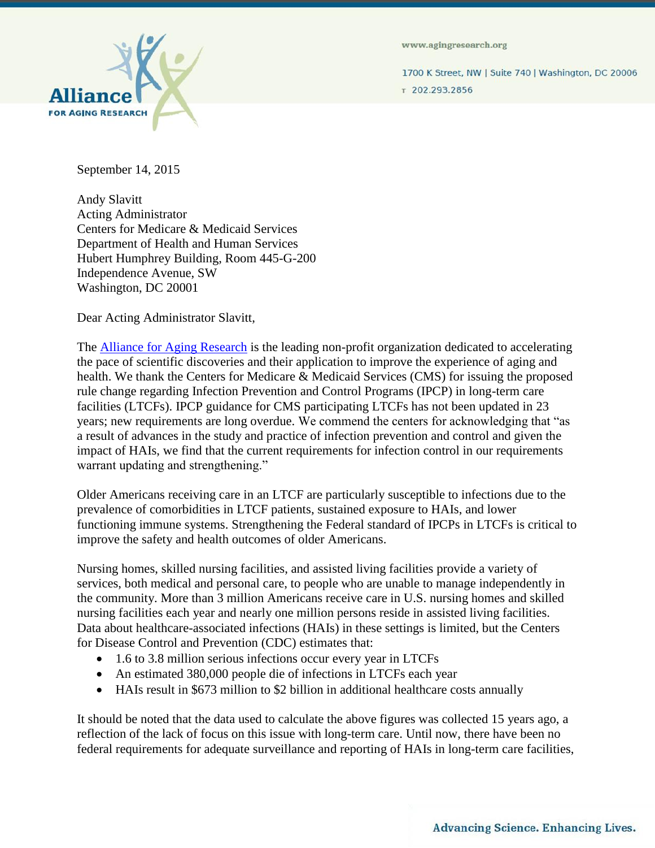

www.agingresearch.org

1700 K Street, NW | Suite 740 | Washington, DC 20006 т 202.293.2856

September 14, 2015

Andy Slavitt Acting Administrator Centers for Medicare & Medicaid Services Department of Health and Human Services Hubert Humphrey Building, Room 445-G-200 Independence Avenue, SW Washington, DC 20001

Dear Acting Administrator Slavitt,

The **Alliance for Aging Research** is the leading non-profit organization dedicated to accelerating the pace of scientific discoveries and their application to improve the experience of aging and health. We thank the Centers for Medicare & Medicaid Services (CMS) for issuing the proposed rule change regarding Infection Prevention and Control Programs (IPCP) in long-term care facilities (LTCFs). IPCP guidance for CMS participating LTCFs has not been updated in 23 years; new requirements are long overdue. We commend the centers for acknowledging that "as a result of advances in the study and practice of infection prevention and control and given the impact of HAIs, we find that the current requirements for infection control in our requirements warrant updating and strengthening."

Older Americans receiving care in an LTCF are particularly susceptible to infections due to the prevalence of comorbidities in LTCF patients, sustained exposure to HAIs, and lower functioning immune systems. Strengthening the Federal standard of IPCPs in LTCFs is critical to improve the safety and health outcomes of older Americans.

Nursing homes, skilled nursing facilities, and assisted living facilities provide a variety of services, both medical and personal care, to people who are unable to manage independently in the community. More than 3 million Americans receive care in U.S. nursing homes and skilled nursing facilities each year and nearly one million persons reside in assisted living facilities. Data about healthcare-associated infections (HAIs) in these settings is limited, but the Centers for Disease Control and Prevention (CDC) estimates that:

- 1.6 to 3.8 million serious infections occur every year in LTCFs
- An estimated 380,000 people die of infections in LTCFs each year
- HAIs result in \$673 million to \$2 billion in additional healthcare costs annually

It should be noted that the data used to calculate the above figures was collected 15 years ago, a reflection of the lack of focus on this issue with long-term care. Until now, there have been no federal requirements for adequate surveillance and reporting of HAIs in long-term care facilities,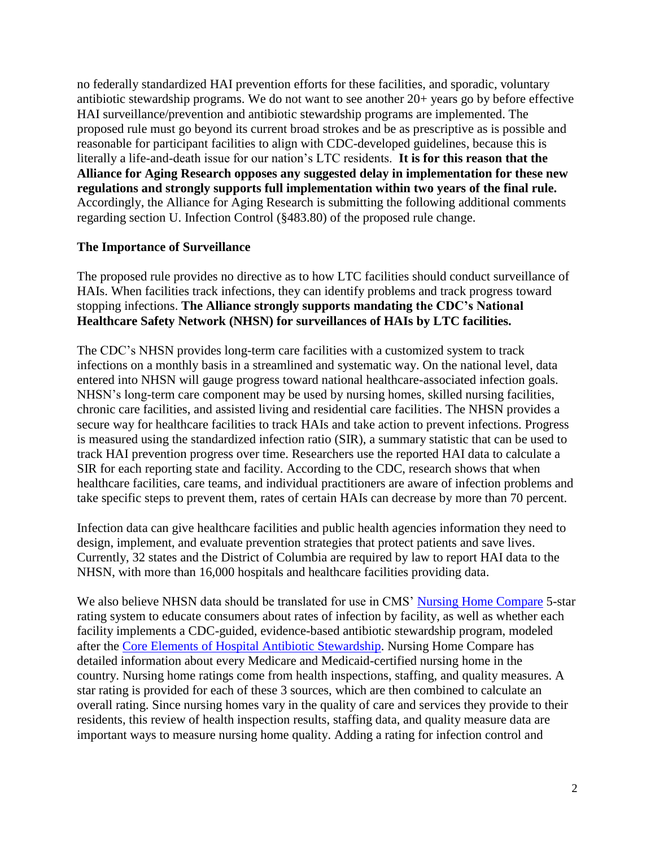no federally standardized HAI prevention efforts for these facilities, and sporadic, voluntary antibiotic stewardship programs. We do not want to see another 20+ years go by before effective HAI surveillance/prevention and antibiotic stewardship programs are implemented. The proposed rule must go beyond its current broad strokes and be as prescriptive as is possible and reasonable for participant facilities to align with CDC-developed guidelines, because this is literally a life-and-death issue for our nation's LTC residents. **It is for this reason that the Alliance for Aging Research opposes any suggested delay in implementation for these new regulations and strongly supports full implementation within two years of the final rule.**  Accordingly, the Alliance for Aging Research is submitting the following additional comments regarding section U. Infection Control (§483.80) of the proposed rule change.

## **The Importance of Surveillance**

The proposed rule provides no directive as to how LTC facilities should conduct surveillance of HAIs. When facilities track infections, they can identify problems and track progress toward stopping infections. **The Alliance strongly supports mandating the CDC's National Healthcare Safety Network (NHSN) for surveillances of HAIs by LTC facilities.**

The CDC's NHSN provides long-term care facilities with a customized system to track infections on a monthly basis in a streamlined and systematic way. On the national level, data entered into NHSN will gauge progress toward national healthcare-associated infection goals. NHSN's long-term care component may be used by nursing homes, skilled nursing facilities, chronic care facilities, and assisted living and residential care facilities. The NHSN provides a secure way for healthcare facilities to track HAIs and take action to prevent infections. Progress is measured using the standardized infection ratio (SIR), a summary statistic that can be used to track HAI prevention progress over time. Researchers use the reported HAI data to calculate a SIR for each reporting state and facility. According to the CDC, research shows that when healthcare facilities, care teams, and individual practitioners are aware of infection problems and take specific steps to prevent them, rates of certain HAIs can decrease by more than 70 percent.

Infection data can give healthcare facilities and public health agencies information they need to design, implement, and evaluate prevention strategies that protect patients and save lives. Currently, 32 states and the District of Columbia are required by law to report HAI data to the NHSN, with more than 16,000 hospitals and healthcare facilities providing data.

We also believe NHSN data should be translated for use in CMS' [Nursing Home Compare](http://www.medicare.gov/nursinghomecompare/search.html) 5-star rating system to educate consumers about rates of infection by facility, as well as whether each facility implements a CDC-guided, evidence-based antibiotic stewardship program, modeled after the [Core Elements of Hospital Antibiotic Stewardship.](http://www.cdc.gov/getsmart/healthcare/implementation/core-elements.html) Nursing Home Compare has detailed information about every Medicare and Medicaid-certified nursing home in the country. Nursing home ratings come from health inspections, staffing, and quality measures. A star rating is provided for each of these 3 sources, which are then combined to calculate an overall rating. Since nursing homes vary in the quality of care and services they provide to their residents, this review of health inspection results, staffing data, and quality measure data are important ways to measure nursing home quality. Adding a rating for infection control and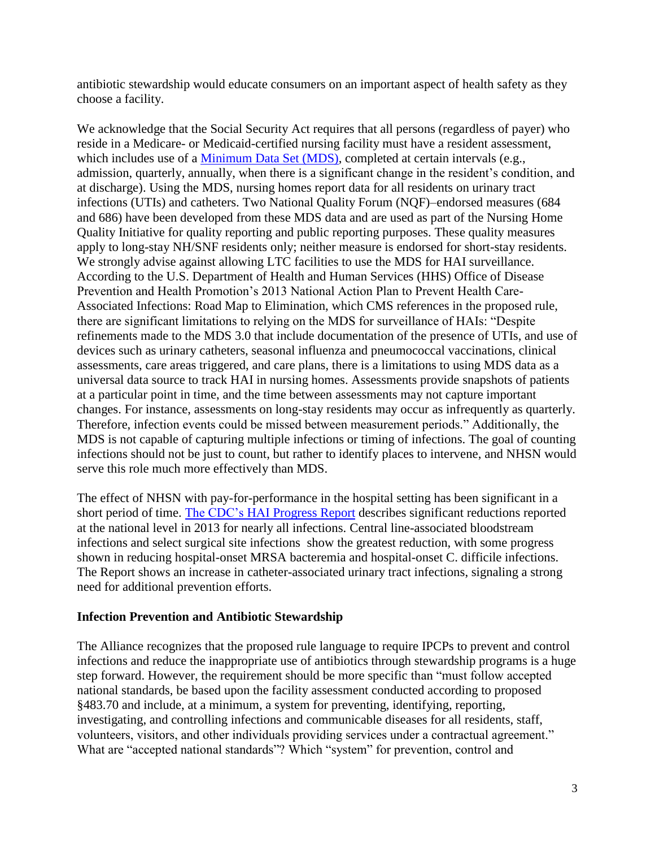antibiotic stewardship would educate consumers on an important aspect of health safety as they choose a facility.

We acknowledge that the Social Security Act requires that all persons (regardless of payer) who reside in a Medicare- or Medicaid-certified nursing facility must have a resident assessment, which includes use of a [Minimum Data Set \(MDS\),](https://www.cms.gov/Research-Statistics-Data-and-Systems/Files-for-Order/IdentifiableDataFiles/LongTermCareMinimumDataSetMDS.html) completed at certain intervals (e.g., admission, quarterly, annually, when there is a significant change in the resident's condition, and at discharge). Using the MDS, nursing homes report data for all residents on urinary tract infections (UTIs) and catheters. Two National Quality Forum (NQF)–endorsed measures (684 and 686) have been developed from these MDS data and are used as part of the Nursing Home Quality Initiative for quality reporting and public reporting purposes. These quality measures apply to long-stay NH/SNF residents only; neither measure is endorsed for short-stay residents. We strongly advise against allowing LTC facilities to use the MDS for HAI surveillance. According to the U.S. Department of Health and Human Services (HHS) Office of Disease Prevention and Health Promotion's 2013 National Action Plan to Prevent Health Care-Associated Infections: Road Map to Elimination, which CMS references in the proposed rule, there are significant limitations to relying on the MDS for surveillance of HAIs: "Despite refinements made to the MDS 3.0 that include documentation of the presence of UTIs, and use of devices such as urinary catheters, seasonal influenza and pneumococcal vaccinations, clinical assessments, care areas triggered, and care plans, there is a limitations to using MDS data as a universal data source to track HAI in nursing homes. Assessments provide snapshots of patients at a particular point in time, and the time between assessments may not capture important changes. For instance, assessments on long-stay residents may occur as infrequently as quarterly. Therefore, infection events could be missed between measurement periods." Additionally, the MDS is not capable of capturing multiple infections or timing of infections. The goal of counting infections should not be just to count, but rather to identify places to intervene, and NHSN would serve this role much more effectively than MDS.

The effect of NHSN with pay-for-performance in the hospital setting has been significant in a short period of time. [The CDC's HAI Progress Report](http://www.cdc.gov/hai/progress-report/) describes significant reductions reported at the national level in 2013 for nearly all infections. Central line-associated bloodstream infections and select surgical site infections show the greatest reduction, with some progress shown in reducing hospital-onset MRSA bacteremia and hospital-onset C. difficile infections. The Report shows an increase in catheter-associated urinary tract infections, signaling a strong need for additional prevention efforts.

# **Infection Prevention and Antibiotic Stewardship**

The Alliance recognizes that the proposed rule language to require IPCPs to prevent and control infections and reduce the inappropriate use of antibiotics through stewardship programs is a huge step forward. However, the requirement should be more specific than "must follow accepted national standards, be based upon the facility assessment conducted according to proposed §483.70 and include, at a minimum, a system for preventing, identifying, reporting, investigating, and controlling infections and communicable diseases for all residents, staff, volunteers, visitors, and other individuals providing services under a contractual agreement." What are "accepted national standards"? Which "system" for prevention, control and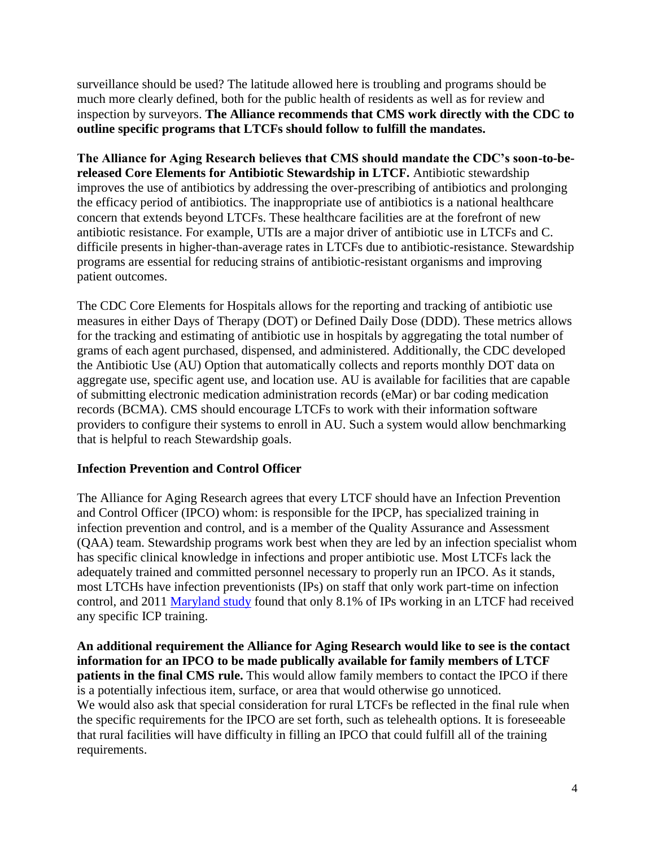surveillance should be used? The latitude allowed here is troubling and programs should be much more clearly defined, both for the public health of residents as well as for review and inspection by surveyors. **The Alliance recommends that CMS work directly with the CDC to outline specific programs that LTCFs should follow to fulfill the mandates.** 

**The Alliance for Aging Research believes that CMS should mandate the CDC's soon-to-bereleased Core Elements for Antibiotic Stewardship in LTCF.** Antibiotic stewardship improves the use of antibiotics by addressing the over-prescribing of antibiotics and prolonging the efficacy period of antibiotics. The inappropriate use of antibiotics is a national healthcare concern that extends beyond LTCFs. These healthcare facilities are at the forefront of new antibiotic resistance. For example, UTIs are a major driver of antibiotic use in LTCFs and C. difficile presents in higher-than-average rates in LTCFs due to antibiotic-resistance. Stewardship programs are essential for reducing strains of antibiotic-resistant organisms and improving patient outcomes.

The CDC Core Elements for Hospitals allows for the reporting and tracking of antibiotic use measures in either Days of Therapy (DOT) or Defined Daily Dose (DDD). These metrics allows for the tracking and estimating of antibiotic use in hospitals by aggregating the total number of grams of each agent purchased, dispensed, and administered. Additionally, the CDC developed the Antibiotic Use (AU) Option that automatically collects and reports monthly DOT data on aggregate use, specific agent use, and location use. AU is available for facilities that are capable of submitting electronic medication administration records (eMar) or bar coding medication records (BCMA). CMS should encourage LTCFs to work with their information software providers to configure their systems to enroll in AU. Such a system would allow benchmarking that is helpful to reach Stewardship goals.

# **Infection Prevention and Control Officer**

The Alliance for Aging Research agrees that every LTCF should have an Infection Prevention and Control Officer (IPCO) whom: is responsible for the IPCP, has specialized training in infection prevention and control, and is a member of the Quality Assurance and Assessment (QAA) team. Stewardship programs work best when they are led by an infection specialist whom has specific clinical knowledge in infections and proper antibiotic use. Most LTCFs lack the adequately trained and committed personnel necessary to properly run an IPCO. As it stands, most LTCHs have infection preventionists (IPs) on staff that only work part-time on infection control, and 2011 [Maryland study](http://www.ncbi.nlm.nih.gov/pubmed/21458109) found that only 8.1% of IPs working in an LTCF had received any specific ICP training.

**An additional requirement the Alliance for Aging Research would like to see is the contact information for an IPCO to be made publically available for family members of LTCF patients in the final CMS rule.** This would allow family members to contact the IPCO if there is a potentially infectious item, surface, or area that would otherwise go unnoticed. We would also ask that special consideration for rural LTCFs be reflected in the final rule when the specific requirements for the IPCO are set forth, such as telehealth options. It is foreseeable that rural facilities will have difficulty in filling an IPCO that could fulfill all of the training requirements.